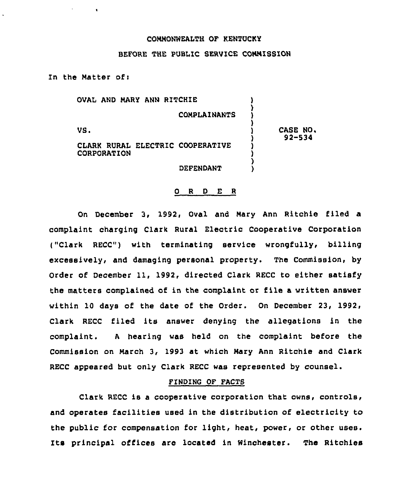### COMMONWEALTH OF KENTUCKY

# BEFORE THE PUBLIC SERVICE COMMISSION

In the Matter ofi

 $\mathbf{A}$  and  $\mathbf{A}$ 

 $\bullet$ 

OVAL AND MARY ANN RITCHIE ) ) COMPLAINANTS ) ) VS. ) CASE NO. 92-534 CLARE RURAI ELECTRIC COOPERATIVE ) CORPORATION ) ) DEFENDANT )

#### 0 <sup>R</sup> <sup>D</sup> E <sup>R</sup>

On December 3, 1992, Oval and Mary Ann Ritchie filed a complaint charging Clark Rural Electric Cooperative Corporation (,"Clark RECC") with terminating service wrongfully, billing excessively, and damaging personal property. The Commission, by Order of December 11, 1992, directed Clark RECC to either satisfy the matters complained of in the complaint or file a written answer within 10 days of the date of the Order. On December 23, 1992, Clark RECC filed its answer denying the allegations in the complaint. <sup>A</sup> hearing was held on the complaint before the Commission on March 3, 1993 at which Mary Ann Ritchie and Clark RECC appeared but only Clark RECC was represented by counsel.

### FINDING OF FACTS

Clark RECC is a cooperative corporation that owns, controls, and operates facilities used in the distribution of electricity to the public for compensation for light, heat, power, or other uses. Its principal offices are located in Winchester. The Ritchies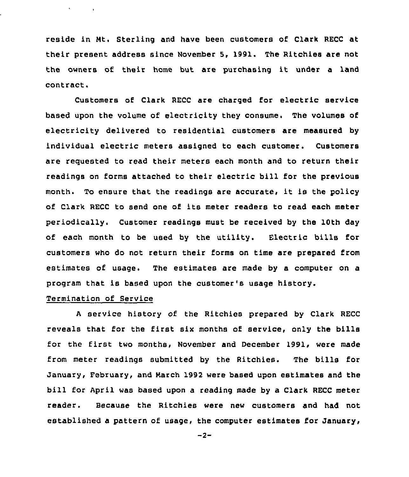reside in Mt. Sterling and have been customers of Clark RECC at their present address since November 5, 1991. The Ritchies are not the owners of their home but are purchasing it under <sup>a</sup> land contract.

Customers of Clark RECC are charged for electric service based upon the volume of electricity they consume. The volumes of electricity delivered to residential customers are measured by individual electric meters assigned to each customer. Customers are requested to read their meters each month and to return their readings on forms attached to their electric bill for the previous month. To ensure that the readings are accurate, it is the policy of Clark RECC to send one of its meter readers to read each meter periodically. Customer readings must be received by the 10th day of each month to be used by the utility. Electric bills for customers who do not return their forms on time are prepared from estimates of usage. The estimates are made by a computer on a program that is based upon the customer's usage history.

### Termination of Service

 $\mathcal{A}^{\mathcal{A}}$  and  $\mathcal{A}^{\mathcal{A}}$  and  $\mathcal{A}^{\mathcal{A}}$ 

<sup>A</sup> service history of the Ritchies prepared by Clark RECC reveals that for the first six months of service, only the bills for the first two months, November and December 1991, were made from meter readings submitted by the Ritchies. The bills for January, February, and March 1992 were based upon estimates and the bill for April was based upon a reading made by a Clark RECC meter reader. Because the Ritchies were new customers and had not established a pattern of usage, the computer estimates for January,

 $-2-$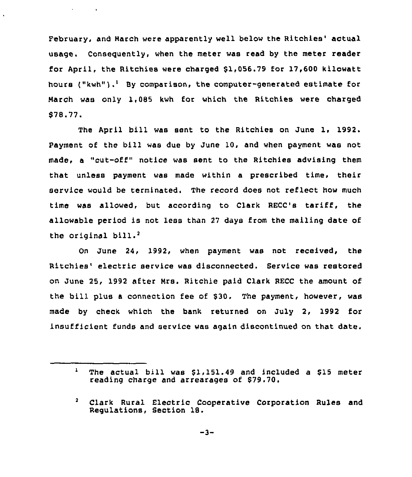February, and March were apparently well below the Ritchies' actual usage. Conseguently, when the meter was read by the meter reader for April, the Ritchies were charged  $$1,056.79$  for 17,600 kilowatt hours  $('kwh'')$ .<sup>1</sup> By comparison, the computer-generated estimate for March was only 1,085 kwh for which the Ritchies were charged \$ 78.77.

and the company

The April bill was sent to the Ritchies on June 1, 1992. Payment of the bill was due by June 10, and when payment was not made, a "cut-off" notice was sent to the Ritchies advising them that unless payment was made within a prescribed time, their service would be terminated. The record does not reflect how much time was allowed, but according to Clark RECC's tariff, the allowable period is not less than <sup>27</sup> days from the mailing date of the original  $b111.^2$ 

June 24, 1992, when payment was not received, the Ritchies' electric service was disconnected. Service was restored on June 25, 1992 after Mrs. Ritchie paid Clark RECC the amount of the bill plus a connection fee of \$30. The payment, however, was made by check which the bank returned on July 2, 1992 for insufficient funds and service was again discontinued on that date.

 $\mathbf{1}$ The actual bill was \$1,151.49 and included a \$15 meter reading charge and arrearages of \$79.70.

 $\mathbf{z}$ Clark Rural Electric Cooperative Corporation Rules and Regulations, Section 18.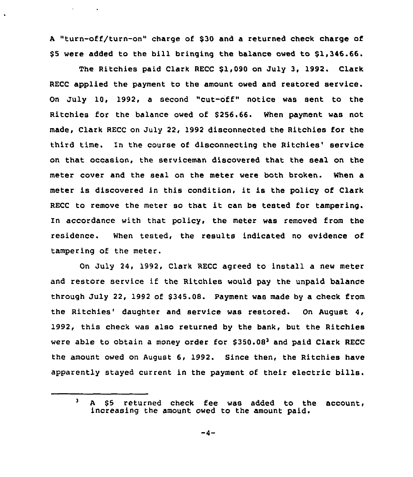A "turn-off/turn-on" charge of \$30 and a returned check charge of \$5 were added to the bill bringing the balance owed to \$1,346.66.

 $\sigma_{\rm{max}}=0.01$  and  $\sigma_{\rm{max}}$ 

 $\cdot$ 

The Ritchies paid Clark RECC \$1,090 on July 3, 1992. Clark RECC applied the payment to the amount owed and restored service. On July 10, 1992, <sup>a</sup> second "cut-off" notice was sent to the Ritchies for the balance owed of \$256.66. When payment was not made, Clark RECC on July 22, 1992 disconnected the Ritchies for the third time. In the course of disconnecting the Ritchies' service on that occasion, the serviceman discovered that the seal on the meter cover and the seal on the meter were both broken. When a meter is discovered in this condition, it is the policy of Clark RECC to remove the meter so that it can be tested for tampering. ln accordance with that policy, the meter was removed from the residence. When tested, the results indicated no evidence of tampering of the meter.

On July 24, 1992, Clark RECC agreed to install a new meter and restore service if the Ritchies would pay the unpaid balance through July 22, 1992 of \$345.08. Payment was made by a check from the Ritchies' daughter and service was restored. On August 4, 1992, this check was also returned by the bank, but the Ritchies were able to obtain a money order for  $$350.08<sup>3</sup>$  and paid Clark RECC the amount owed on August 6, 1992. Since then, the Ritchies have apparently stayed current in the payment of their electric bills.

 $\mathbf{a}$ A \$5 returned check fee was added to the account, increasing the amount owed to the amount paid.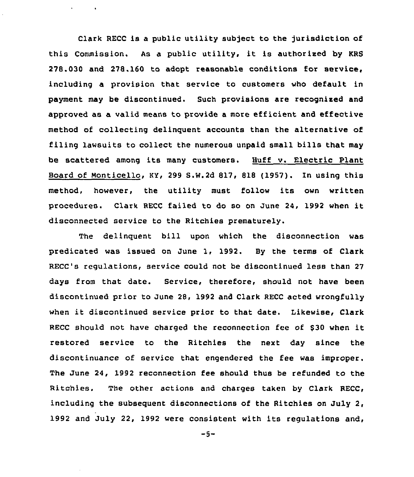Clark RECC is a public utility subject to the jurisdiction of this Commission. As <sup>a</sup> public utility, it is authorised by KRS 278.030 and 278.160 to adopt reasonable conditions for service, including a provision that service to customers who default in payment may be discontinued. Such provisions are recognised and approved as a valid means to provide a more efficient and effective method of collecting delinquent accounts than the alternative of filing lawsuits to collect the numerous unpaid small bills that may be scattered among its many customers. Huff v. Electric Plant Board of Monticello, KY, 299 S.W.2d 817, 818 (l957). In using this method, however, the utility must follow its own written procedures. Clark RECC failed to do so on June 24, 1992 when it disconnected service to the Ritchies prematurely.

 $\mathbf{q} = \mathbf{q} \times \mathbf{q}$  ,  $\mathbf{q} = \mathbf{q}$  ,

The delinquent bill upon which the disconnection was predicated was issued on June 1, 1992. By the terms of Clark RECC's regulations, service could not be discontinued less than 27 days from that date. Service, therefore, should not have been discontinued prior to June 28, 1992 and Clark RECC acted wrongfully when it discontinued service prior to that date. Likewise, Clark RECC should not have charged the reconnection fee of \$30 when it restored service to the Ritchies the next day since the discontinuance of service that engendered the fee was improper. The June 24, 1992 reconnection fee should thus be refunded to the Ritchies. The other actions and charges taken by Clark RECC, including the subsequent disconnections of the Ritchies on July 2, 1992 and July 22, 1992 were consistent with its regulations and,

 $-5-$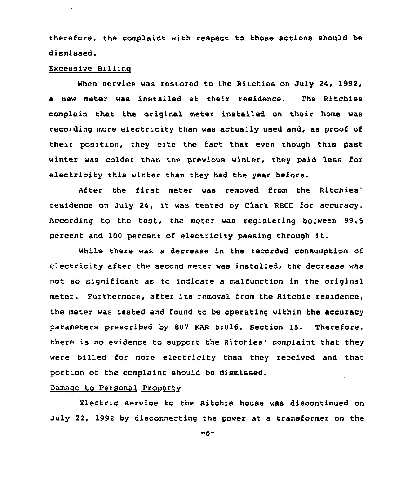therefore, the complaint with respect to those actions should be dismissed.

### Excessive Billinq

 $\bullet$  . The second second  $\bullet$ 

When service was restored to the Ritchies on July 24, 1992, a new meter was installed at their residence. The Ritchies complain that the original meter installed on their home was recording more electricity than was actually used and, as proof of their position, they cite the fact that even though this past winter was colder than the previous winter, they paid less for electricity this winter than they had the year before.

After the first meter was removed from the Ritchies' residence on July 24, it was tested by Clark RECC for accuracy. According to the test, the meter was registering between 99,5 percent and <sup>100</sup> percent of electricity passing through it.

While there was a decrease in the recorded consumption of electricity after the second meter was installed, the decrease was not so significant as to indicate a malfunction in the original meter. Furthermore, after its removal from the Ritchie residence, the meter was tested and found to be operating within the accuracy parameters prescribed by 802 EAR 5:016, Section 15. Therefore, there is no evidence to support the Ritchies' complaint that they were billed for more electricity than they received and that portion of the complaint should be dismissed.

# Damage to Personal Property

Electric service to the Bitchie house was discontinued on July 22, 1992 by disconnecting the power at a transformer on the

 $-6-$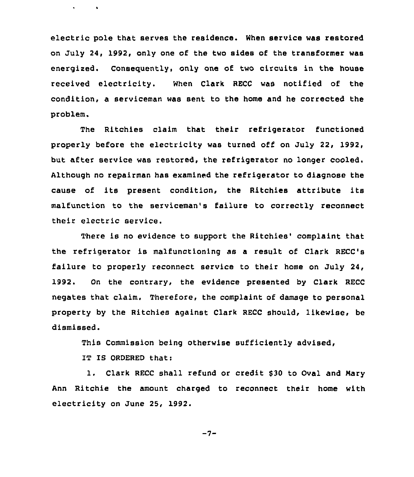electric pole that serves the residence. When service was restored on July 24, 1992, only one of the two sides of the transformer was energized. Consequently, only one of two circuits in the house received electricity. When Clark RECC was notified of the condition, a serviceman was sent to the home and he corrected the problem.

The Ritchies claim that their refrigerator functioned properly before the electricity was turned off on July 22, 1992, but after service was restored, the refrigerator no longer cooled. Although no repairman has examined the refrigerator to diagnose the cause of its present condition, the Ritchies attribute its malfunction to the serviceman's failure to correctly reconnect their electric service.

There is no evidence to support the Ritchies' complaint that the refrigerator is malfunctioning as <sup>a</sup> result of Clark RECC's failure to properly reconnect service to their home on July 24, 1992. On the contrary, the evidence presented by Clark RECC negates that claim. Therefore, the complaint of damage to personal property by the Ritchies against Clark RECC should, likewise, be dismissed.

This Commission being otherwise sufficiently advised,

IT IS ORDERED that:

 $\bullet$  -  $\bullet$  -  $\bullet$  -  $\bullet$  -  $\bullet$  -

1. Clark RECC shall refund or credit \$30 to Oval and Mary Ann Ritchie the amount charged to reconnect their home with electricity on June 25, 1992.

 $-7-$